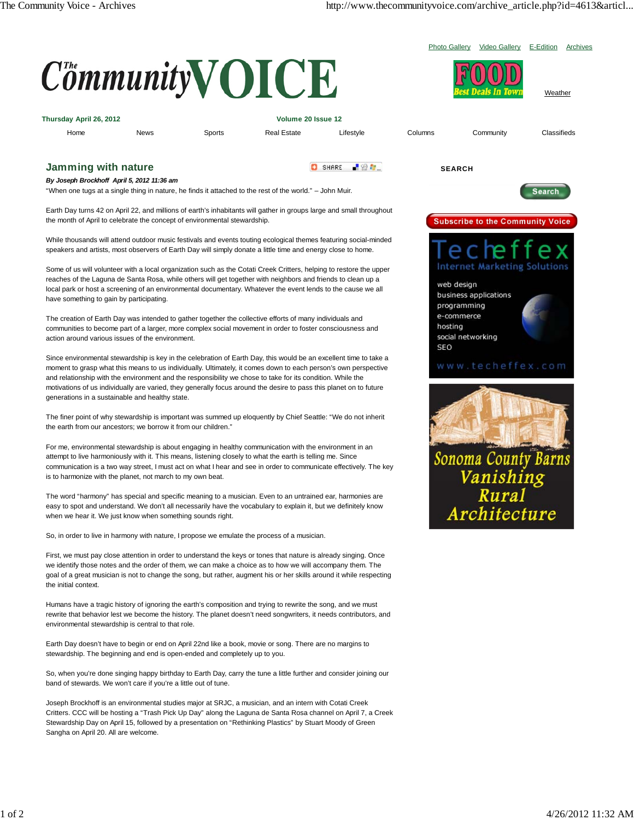